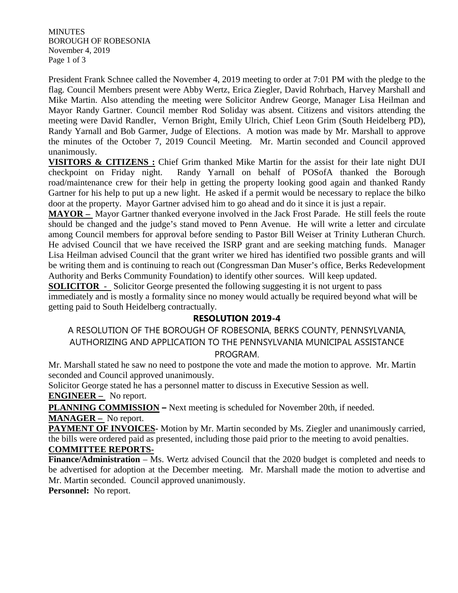**MINUTES** BOROUGH OF ROBESONIA November 4, 2019 Page 1 of 3

President Frank Schnee called the November 4, 2019 meeting to order at 7:01 PM with the pledge to the flag. Council Members present were Abby Wertz, Erica Ziegler, David Rohrbach, Harvey Marshall and Mike Martin. Also attending the meeting were Solicitor Andrew George, Manager Lisa Heilman and Mayor Randy Gartner. Council member Rod Soliday was absent. Citizens and visitors attending the meeting were David Randler, Vernon Bright, Emily Ulrich, Chief Leon Grim (South Heidelberg PD), Randy Yarnall and Bob Garmer, Judge of Elections. A motion was made by Mr. Marshall to approve the minutes of the October 7, 2019 Council Meeting. Mr. Martin seconded and Council approved unanimously.

**VISITORS & CITIZENS :** Chief Grim thanked Mike Martin for the assist for their late night DUI checkpoint on Friday night. Randy Yarnall on behalf of POSofA thanked the Borough road/maintenance crew for their help in getting the property looking good again and thanked Randy Gartner for his help to put up a new light. He asked if a permit would be necessary to replace the bilko door at the property. Mayor Gartner advised him to go ahead and do it since it is just a repair.

**MAYOR –** Mayor Gartner thanked everyone involved in the Jack Frost Parade. He still feels the route should be changed and the judge's stand moved to Penn Avenue. He will write a letter and circulate among Council members for approval before sending to Pastor Bill Weiser at Trinity Lutheran Church. He advised Council that we have received the ISRP grant and are seeking matching funds. Manager Lisa Heilman advised Council that the grant writer we hired has identified two possible grants and will be writing them and is continuing to reach out (Congressman Dan Muser's office, Berks Redevelopment Authority and Berks Community Foundation) to identify other sources. Will keep updated.

**SOLICITOR** - Solicitor George presented the following suggesting it is not urgent to pass immediately and is mostly a formality since no money would actually be required beyond what will be getting paid to South Heidelberg contractually.

## **RESOLUTION 2019-4**

A RESOLUTION OF THE BOROUGH OF ROBESONIA, BERKS COUNTY, PENNSYLVANIA, AUTHORIZING AND APPLICATION TO THE PENNSYLVANIA MUNICIPAL ASSISTANCE PROGRAM.

Mr. Marshall stated he saw no need to postpone the vote and made the motion to approve. Mr. Martin seconded and Council approved unanimously.

Solicitor George stated he has a personnel matter to discuss in Executive Session as well. **ENGINEER –** No report.

**PLANNING COMMISSION –** Next meeting is scheduled for November 20th, if needed. **MANAGER –** No report.

**PAYMENT OF INVOICES-** Motion by Mr. Martin seconded by Ms. Ziegler and unanimously carried, the bills were ordered paid as presented, including those paid prior to the meeting to avoid penalties. **COMMITTEE REPORTS-**

**Finance/Administration** – Ms. Wertz advised Council that the 2020 budget is completed and needs to be advertised for adoption at the December meeting. Mr. Marshall made the motion to advertise and Mr. Martin seconded. Council approved unanimously.

**Personnel:** No report.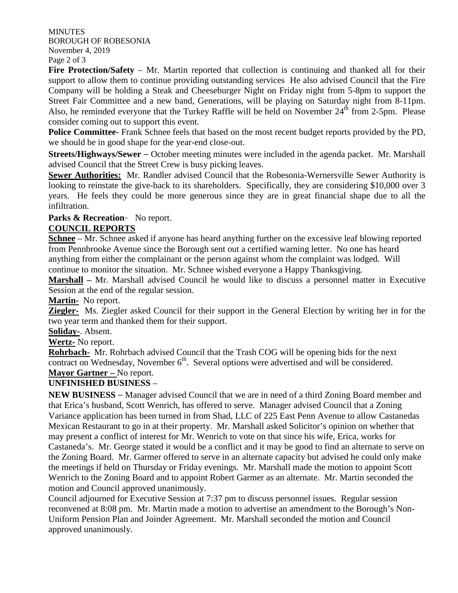MINUTES BOROUGH OF ROBESONIA November 4, 2019 Page 2 of 3

**Fire Protection/Safety** – Mr. Martin reported that collection is continuing and thanked all for their support to allow them to continue providing outstanding services He also advised Council that the Fire Company will be holding a Steak and Cheeseburger Night on Friday night from 5-8pm to support the Street Fair Committee and a new band, Generations, will be playing on Saturday night from 8-11pm. Also, he reminded everyone that the Turkey Raffle will be held on November  $24<sup>th</sup>$  from 2-5pm. Please consider coming out to support this event.

**Police Committee-** Frank Schnee feels that based on the most recent budget reports provided by the PD, we should be in good shape for the year-end close-out.

**Streets/Highways/Sewer** – October meeting minutes were included in the agenda packet. Mr. Marshall advised Council that the Street Crew is busy picking leaves.

**Sewer Authorities:** Mr. Randler advised Council that the Robesonia-Wernersville Sewer Authority is looking to reinstate the give-back to its shareholders. Specifically, they are considering \$10,000 over 3 years. He feels they could be more generous since they are in great financial shape due to all the infiltration.

### **Parks & Recreation**- No report.

#### **COUNCIL REPORTS**

**Schnee** – Mr. Schnee asked if anyone has heard anything further on the excessive leaf blowing reported from Pennbrooke Avenue since the Borough sent out a certified warning letter. No one has heard anything from either the complainant or the person against whom the complaint was lodged. Will continue to monitor the situation. Mr. Schnee wished everyone a Happy Thanksgiving.

**Marshall –** Mr. Marshall advised Council he would like to discuss a personnel matter in Executive Session at the end of the regular session.

**Martin-** No report.

**Ziegler-** Ms. Ziegler asked Council for their support in the General Election by writing her in for the two year term and thanked them for their support.

**Soliday-**. Absent.

**Wertz-** No report.

**Rohrbach-** Mr. Rohrbach advised Council that the Trash COG will be opening bids for the next contract on Wednesday, November  $6<sup>th</sup>$ . Several options were advertised and will be considered. **Mayor Gartner –** No report.

# **UNFINISHED BUSINESS** –

**NEW BUSINESS** – Manager advised Council that we are in need of a third Zoning Board member and that Erica's husband, Scott Wenrich, has offered to serve. Manager advised Council that a Zoning Variance application has been turned in from Shad, LLC of 225 East Penn Avenue to allow Castanedas Mexican Restaurant to go in at their property. Mr. Marshall asked Solicitor's opinion on whether that may present a conflict of interest for Mr. Wenrich to vote on that since his wife, Erica, works for Castaneda's. Mr. George stated it would be a conflict and it may be good to find an alternate to serve on the Zoning Board. Mr. Garmer offered to serve in an alternate capacity but advised he could only make the meetings if held on Thursday or Friday evenings. Mr. Marshall made the motion to appoint Scott Wenrich to the Zoning Board and to appoint Robert Garmer as an alternate. Mr. Martin seconded the motion and Council approved unanimously.

Council adjourned for Executive Session at 7:37 pm to discuss personnel issues. Regular session reconvened at 8:08 pm. Mr. Martin made a motion to advertise an amendment to the Borough's Non-Uniform Pension Plan and Joinder Agreement. Mr. Marshall seconded the motion and Council approved unanimously.